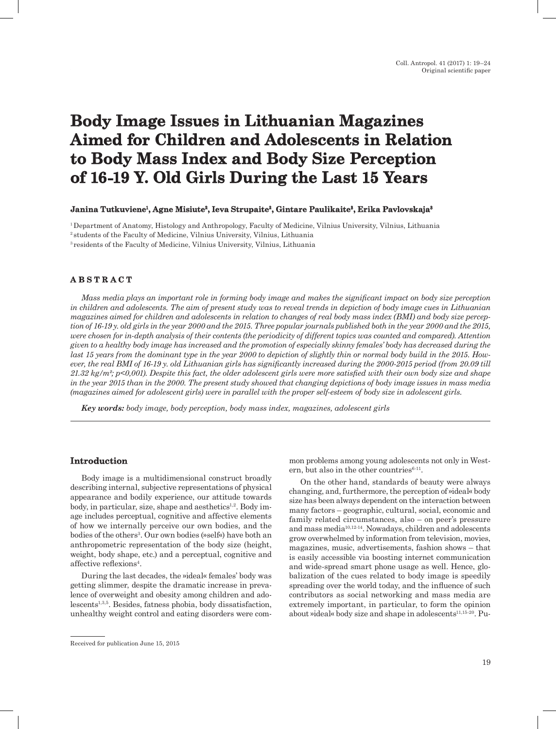# **Body Image Issues in Lithuanian Magazines Aimed for Children and Adolescents in Relation to Body Mass Index and Body Size Perception of 16-19 Y. Old Girls During the Last 15 Years**

## **Janina Tutkuviene1, Agne Misiute2, Ieva Strupaite2, Gintare Paulikaite3, Erika Pavlovskaja3**

1 Department of Anatomy, Histology and Anthropology, Faculty of Medicine, Vilnius University, Vilnius, Lithuania 2 students of the Faculty of Medicine, Vilnius University, Vilnius, Lithuania 3 residents of the Faculty of Medicine, Vilnius University, Vilnius, Lithuania

# **A B S T R A C T**

*Mass media plays an important role in forming body image and makes the significant impact on body size perception in children and adolescents. The aim of present study was to reveal trends in depiction of body image cues in Lithuanian magazines aimed for children and adolescents in relation to changes of real body mass index (BMI) and body size perception of 16-19 y. old girls in the year 2000 and the 2015. Three popular journals published both in the year 2000 and the 2015, were chosen for in-depth analysis of their contents (the periodicity of different topics was counted and compared). Attention given to a healthy body image has increased and the promotion of especially skinny females' body has decreased during the last 15 years from the dominant type in the year 2000 to depiction of slightly thin or normal body build in the 2015. However, the real BMI of 16-19 y. old Lithuanian girls has significantly increased during the 2000-2015 period (from 20.09 till 21.32 kg/m²; p<0,001). Despite this fact, the older adolescent girls were more satisfied with their own body size and shape in the year 2015 than in the 2000. The present study showed that changing depictions of body image issues in mass media (magazines aimed for adolescent girls) were in parallel with the proper self-esteem of body size in adolescent girls.*

*Key words: body image, body perception, body mass index, magazines, adolescent girls*

## **Introduction**

Body image is a multidimensional construct broadly describing internal, subjective representations of physical appearance and bodily experience, our attitude towards body, in particular, size, shape and aesthetics $^{1,2}$ . Body image includes perceptual, cognitive and affective elements of how we internally perceive our own bodies, and the bodies of the others<sup>3</sup>. Our own bodies (»self«) have both an anthropometric representation of the body size (height, weight, body shape, etc.) and a perceptual, cognitive and affective reflexions<sup>4</sup>.

During the last decades, the »ideal« females' body was getting slimmer, despite the dramatic increase in prevalence of overweight and obesity among children and adolescents<sup>1,3,5</sup>. Besides, fatness phobia, body dissatisfaction, unhealthy weight control and eating disorders were common problems among young adolescents not only in Western, but also in the other countries $6-11$ .

On the other hand, standards of beauty were always changing, and, furthermore, the perception of »ideal« body size has been always dependent on the interaction between many factors – geographic, cultural, social, economic and family related circumstances, also – on peer's pressure and mass media10,12-14. Nowadays, children and adolescents grow overwhelmed by information from television, movies, magazines, music, advertisements, fashion shows – that is easily accessible via boosting internet communication and wide-spread smart phone usage as well. Hence, globalization of the cues related to body image is speedily spreading over the world today, and the influence of such contributors as social networking and mass media are extremely important, in particular, to form the opinion about »ideal« body size and shape in adolescents<sup>11,15-20</sup>. Pu-

Received for publication June 15, 2015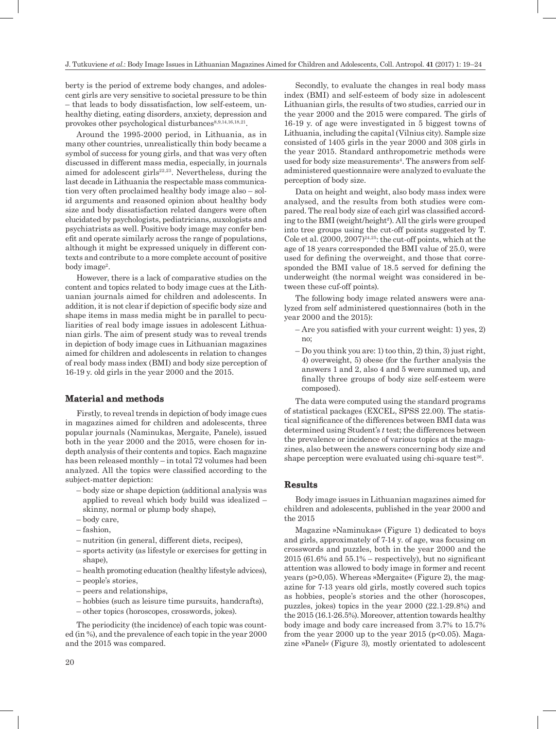J. Tutkuviene *et al.*: Body Image Issues in Lithuanian Magazines Aimed for Children and Adolescents, Coll. Antropol. **41** (2017) 1: 19–24

berty is the period of extreme body changes, and adolescent girls are very sensitive to societal pressure to be thin – that leads to body dissatisfaction, low self-esteem, unhealthy dieting, eating disorders, anxiety, depression and provokes other psychological disturbances<sup>8,9,14,16,18,21</sup>.

Around the 1995-2000 period, in Lithuania, as in many other countries, unrealistically thin body became a symbol of success for young girls, and that was very often discussed in different mass media, especially, in journals aimed for adolescent girls $22,23$ . Nevertheless, during the last decade in Lithuania the respectable mass communication very often proclaimed healthy body image also – solid arguments and reasoned opinion about healthy body size and body dissatisfaction related dangers were often elucidated by psychologists, pediatricians, auxologists and psychiatrists as well. Positive body image may confer benefit and operate similarly across the range of populations, although it might be expressed uniquely in different contexts and contribute to a more complete account of positive body image<sup>2</sup>.

However, there is a lack of comparative studies on the content and topics related to body image cues at the Lithuanian journals aimed for children and adolescents. In addition, it is not clear if depiction of specific body size and shape items in mass media might be in parallel to peculiarities of real body image issues in adolescent Lithuanian girls. The aim of present study was to reveal trends in depiction of body image cues in Lithuanian magazines aimed for children and adolescents in relation to changes of real body mass index (BMI) and body size perception of 16-19 y. old girls in the year 2000 and the 2015.

## **Material and methods**

Firstly, to reveal trends in depiction of body image cues in magazines aimed for children and adolescents, three popular journals (Naminukas, Mergaite, Panele), issued both in the year 2000 and the 2015, were chosen for indepth analysis of their contents and topics*.* Each magazine has been released monthly – in total 72 volumes had been analyzed. All the topics were classified according to the subject-matter depiction:

- body size or shape depiction (additional analysis was applied to reveal which body build was idealized – skinny, normal or plump body shape),
- body care,
- fashion,
- nutrition (in general, different diets, recipes),
- sports activity (as lifestyle or exercises for getting in shape).
- health promoting education (healthy lifestyle advices),
- people's stories,
- peers and relationships,
- hobbies (such as leisure time pursuits, handcrafts),
- other topics (horoscopes, crosswords, jokes).

The periodicity (the incidence) of each topic was counted (in %), and the prevalence of each topic in the year 2000 and the 2015 was compared.

Secondly, to evaluate the changes in real body mass index (BMI) and self-esteem of body size in adolescent Lithuanian girls, the results of two studies, carried our in the year 2000 and the 2015 were compared. The girls of 16-19 y. of age were investigated in 5 biggest towns of Lithuania, including the capital (Vilnius city). Sample size consisted of 1405 girls in the year 2000 and 308 girls in the year 2015. Standard anthropometric methods were used for body size measurements<sup>4</sup>. The answers from selfadministered questionnaire were analyzed to evaluate the perception of body size.

Data on height and weight, also body mass index were analysed, and the results from both studies were compared. The real body size of each girl was classified according to the BMI (weight/height²). All the girls were grouped into tree groups using the cut-off points suggested by T. Cole et al.  $(2000, 2007)^{24,25}$ : the cut-off points, which at the age of 18 years corresponded the BMI value of 25.0, were used for defining the overweight, and those that corresponded the BMI value of 18.5 served for defining the underweight (the normal weight was considered in between these cuf-off points).

The following body image related answers were analyzed from self administered questionnaires (both in the year 2000 and the 2015):

- Are you satisfied with your current weight: 1) yes, 2) no;
- Do you think you are: 1) too thin, 2) thin, 3) just right, 4) overweight, 5) obese (for the further analysis the answers 1 and 2, also 4 and 5 were summed up, and finally three groups of body size self-esteem were composed).

The data were computed using the standard programs of statistical packages (EXCEL, SPSS 22.00). The statistical significance of the differences between BMI data was determined using Student's *t* test; the differences between the prevalence or incidence of various topics at the magazines, also between the answers concerning body size and shape perception were evaluated using chi-square test $26$ .

## **Results**

Body image issues in Lithuanian magazines aimed for children and adolescents, published in the year 2000 and the 2015

Magazine »Naminukas« (Figure 1) dedicated to boys and girls, approximately of 7-14 y. of age, was focusing on crosswords and puzzles, both in the year 2000 and the  $2015$  (61.6% and  $55.1%$  – respectively), but no significant attention was allowed to body image in former and recent years (p>0,05). Whereas »Mergaite« (Figure 2), the magazine for 7-13 years old girls, mostly covered such topics as hobbies, people's stories and the other (horoscopes, puzzles, jokes) topics in the year 2000 (22.1-29.8%) and the 2015 (16.1-26.5%). Moreover, attention towards healthy body image and body care increased from 3.7% to 15.7% from the year 2000 up to the year 2015 ( $p<0.05$ ). Magazine »Panel*«* (Figure 3)*,* mostly orientated to adolescent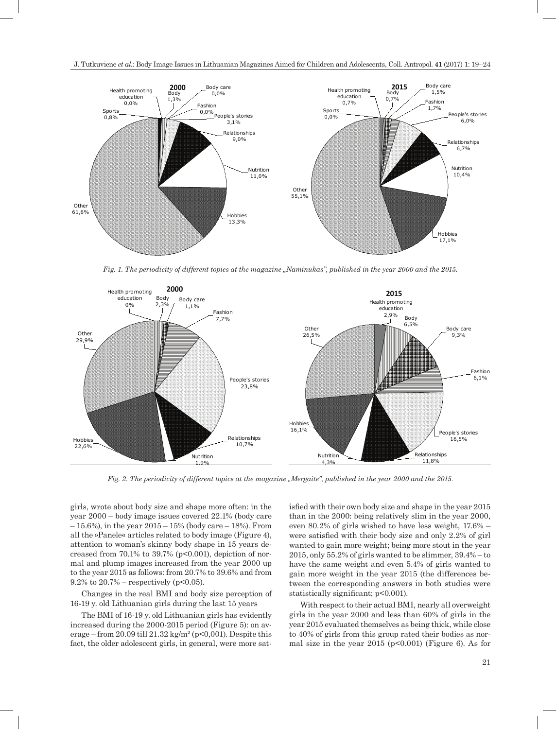



*Fig. 1. The periodicity of different topics at the magazine "Naminukas", published in the year 2000 and the 2015.*



*Fig. 2. The periodicity of different topics at the magazine "Mergaite", published in the year 2000 and the 2015.*

girls, wrote about body size and shape more often: in the year 2000 – body image issues covered 22.1% (body care  $-15.6%$ ), in the year  $2015 - 15%$  (body care  $-18%$ ). From all the »Panele« articles related to body image (Figure 4), attention to woman's skinny body shape in 15 years decreased from  $70.1\%$  to  $39.7\%$  ( $p<0.001$ ), depiction of normal and plump images increased from the year 2000 up to the year 2015 as follows: from 20.7% to 39.6% and from 9.2% to  $20.7%$  – respectively (p<0.05).

Changes in the real BMI and body size perception of 16-19 y. old Lithuanian girls during the last 15 years

The BMI of 16-19 y. old Lithuanian girls has evidently increased during the 2000-2015 period (Figure 5): on average – from 20.09 till 21.32 kg/m<sup>2</sup> (p<0,001). Despite this fact, the older adolescent girls, in general, were more satisfied with their own body size and shape in the year 2015 than in the 2000: being relatively slim in the year 2000, even 80.2% of girls wished to have less weight, 17.6% – were satisfied with their body size and only 2.2% of girl wanted to gain more weight; being more stout in the year 2015, only 55.2% of girls wanted to be slimmer, 39.4% – to have the same weight and even 5.4% of girls wanted to gain more weight in the year 2015 (the differences between the corresponding answers in both studies were statistically significant;  $p<0.001$ ).

With respect to their actual BMI, nearly all overweight girls in the year 2000 and less than 60% of girls in the year 2015 evaluated themselves as being thick, while close to 40% of girls from this group rated their bodies as normal size in the year  $2015$  ( $p<0.001$ ) (Figure 6). As for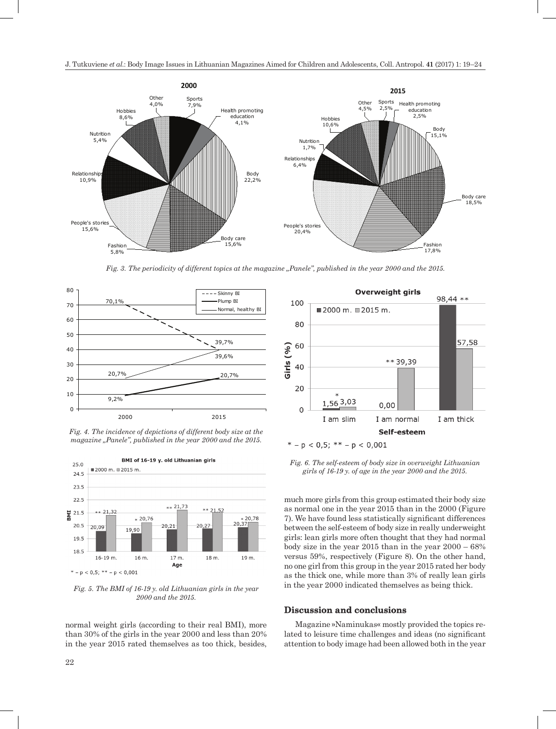

*Fig. 3. The periodicity of different topics at the magazine "Panele", published in the year 2000 and the 2015.* 



*Fig. 4. The incidence of depictions of different body size at the magazine "Panele", published in the year 2000 and the 2015.*



*Fig. 5. The BMI of 16-19 y. old Lithuanian girls in the year 2000 and the 2015.*

normal weight girls (according to their real BMI), more than 30% of the girls in the year 2000 and less than 20% in the year 2015 rated themselves as too thick, besides,



*Fig. 6. The self-esteem of body size in overweight Lithuanian girls of 16-19 y. of age in the year 2000 and the 2015.*

much more girls from this group estimated their body size as normal one in the year 2015 than in the 2000 (Figure 7). We have found less statistically significant differences between the self-esteem of body size in really underweight girls: lean girls more often thought that they had normal body size in the year 2015 than in the year 2000 – 68% versus 59%, respectively (Figure 8). On the other hand, no one girl from this group in the year 2015 rated her body as the thick one, while more than 3% of really lean girls in the year 2000 indicated themselves as being thick.

#### **Discussion and conclusions**

Magazine »Naminukas« mostly provided the topics related to leisure time challenges and ideas (no significant attention to body image had been allowed both in the year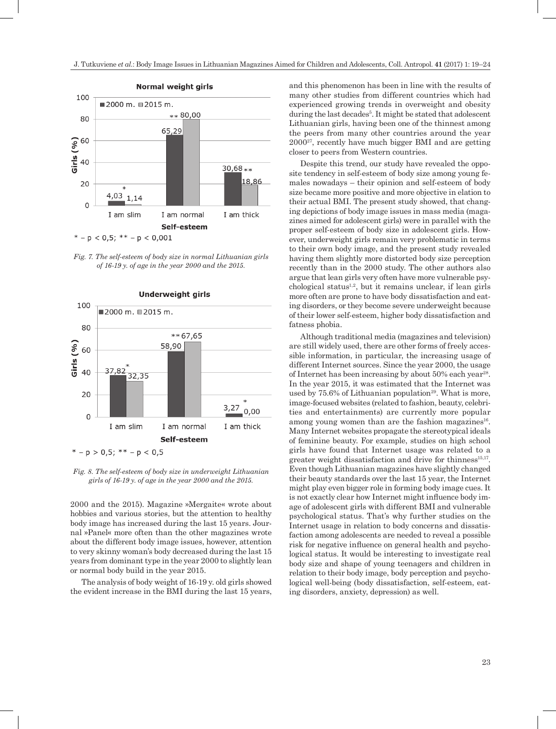

*Fig. 7. The self-esteem of body size in normal Lithuanian girls of 16-19 y. of age in the year 2000 and the 2015.*

**Underweight girls** 



 $* - p > 0.5; ** - p < 0.5$ 

*Fig. 8. The self-esteem of body size in underweight Lithuanian girls of 16-19 y. of age in the year 2000 and the 2015.*

2000 and the 2015). Magazine »Mergaite« wrote about hobbies and various stories, but the attention to healthy body image has increased during the last 15 years. Journal »Panel« more often than the other magazines wrote about the different body image issues, however, attention to very skinny woman's body decreased during the last 15 years from dominant type in the year 2000 to slightly lean or normal body build in the year 2015.

The analysis of body weight of 16-19 y. old girls showed the evident increase in the BMI during the last 15 years, and this phenomenon has been in line with the results of many other studies from different countries which had experienced growing trends in overweight and obesity during the last decades<sup>5</sup>. It might be stated that adolescent Lithuanian girls, having been one of the thinnest among the peers from many other countries around the year 200027, recently have much bigger BMI and are getting closer to peers from Western countries.

Despite this trend, our study have revealed the opposite tendency in self-esteem of body size among young females nowadays – their opinion and self-esteem of body size became more positive and more objective in elation to their actual BMI. The present study showed, that changing depictions of body image issues in mass media (magazines aimed for adolescent girls) were in parallel with the proper self-esteem of body size in adolescent girls. However, underweight girls remain very problematic in terms to their own body image, and the present study revealed having them slightly more distorted body size perception recently than in the 2000 study. The other authors also argue that lean girls very often have more vulnerable psychological status<sup>1,2</sup>, but it remains unclear, if lean girls more often are prone to have body dissatisfaction and eating disorders, or they become severe underweight because of their lower self-esteem, higher body dissatisfaction and fatness phobia.

Although traditional media (magazines and television) are still widely used, there are other forms of freely accessible information, in particular, the increasing usage of different Internet sources. Since the year 2000, the usage of Internet has been increasing by about  $50\%$  each year<sup>28</sup>. In the year 2015, it was estimated that the Internet was used by  $75.6\%$  of Lithuanian population<sup>29</sup>. What is more, image-focused websites (related to fashion, beauty, celebrities and entertainments) are currently more popular among young women than are the fashion magazines<sup>16</sup>. Many Internet websites propagate the stereotypical ideals of feminine beauty. For example, studies on high school girls have found that Internet usage was related to a greater weight dissatisfaction and drive for thinness $15,17$ . Even though Lithuanian magazines have slightly changed their beauty standards over the last 15 year, the Internet might play even bigger role in forming body image cues. It is not exactly clear how Internet might influence body image of adolescent girls with different BMI and vulnerable psychological status. That's why further studies on the Internet usage in relation to body concerns and dissatisfaction among adolescents are needed to reveal a possible risk for negative influence on general health and psychological status. It would be interesting to investigate real body size and shape of young teenagers and children in relation to their body image, body perception and psychological well-being (body dissatisfaction, self-esteem, eating disorders, anxiety, depression) as well.